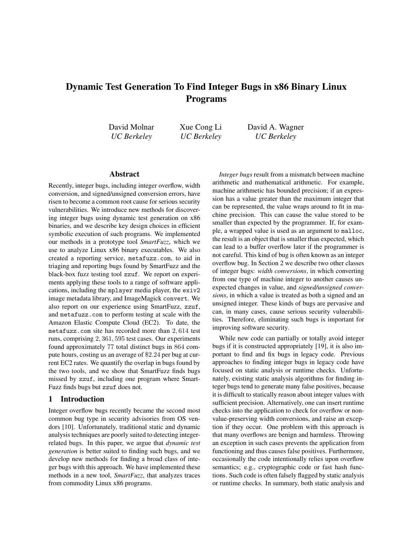# Dynamic Test Generation To Find Integer Bugs in x86 Binary Linux Programs

David Molnar *UC Berkeley*

Xue Cong Li *UC Berkeley* David A. Wagner *UC Berkeley*

#### Abstract

Recently, integer bugs, including integer overflow, width conversion, and signed/unsigned conversion errors, have risen to become a common root cause for serious security vulnerabilities. We introduce new methods for discovering integer bugs using dynamic test generation on x86 binaries, and we describe key design choices in efficient symbolic execution of such programs. We implemented our methods in a prototype tool *SmartFuzz*, which we use to analyze Linux x86 binary executables. We also created a reporting service, metafuzz.com, to aid in triaging and reporting bugs found by SmartFuzz and the black-box fuzz testing tool zzuf. We report on experiments applying these tools to a range of software applications, including the mplayer media player, the exiv2 image metadata library, and ImageMagick convert. We also report on our experience using SmartFuzz, zzuf, and metafuzz.com to perform testing at scale with the Amazon Elastic Compute Cloud (EC2). To date, the metafuzz.com site has recorded more than 2, 614 test runs, comprising 2, 361, 595 test cases. Our experiments found approximately 77 total distinct bugs in 864 compute hours, costing us an average of \$2.24 per bug at current EC2 rates. We quantify the overlap in bugs found by the two tools, and we show that SmartFuzz finds bugs missed by zzuf, including one program where Smart-Fuzz finds bugs but zzuf does not.

#### 1 Introduction

Integer overflow bugs recently became the second most common bug type in security advisories from OS vendors [10]. Unfortunately, traditional static and dynamic analysis techniques are poorly suited to detecting integerrelated bugs. In this paper, we argue that *dynamic test generation* is better suited to finding such bugs, and we develop new methods for finding a broad class of integer bugs with this approach. We have implemented these methods in a new tool, *SmartFuzz*, that analyzes traces from commodity Linux x86 programs.

*Integer bugs* result from a mismatch between machine arithmetic and mathematical arithmetic. For example, machine arithmetic has bounded precision; if an expression has a value greater than the maximum integer that can be represented, the value wraps around to fit in machine precision. This can cause the value stored to be smaller than expected by the programmer. If, for example, a wrapped value is used as an argument to malloc, the result is an object that is smaller than expected, which can lead to a buffer overflow later if the programmer is not careful. This kind of bug is often known as an integer overflow bug. In Section 2 we describe two other classes of integer bugs: *width conversions*, in which converting from one type of machine integer to another causes unexpected changes in value, and *signed/unsigned conversions*, in which a value is treated as both a signed and an unsigned integer. These kinds of bugs are pervasive and can, in many cases, cause serious security vulnerabilities. Therefore, eliminating such bugs is important for improving software security.

While new code can partially or totally avoid integer bugs if it is constructed appropriately [19], it is also important to find and fix bugs in legacy code. Previous approaches to finding integer bugs in legacy code have focused on static analysis or runtime checks. Unfortunately, existing static analysis algorithms for finding integer bugs tend to generate many false positives, because it is difficult to statically reason about integer values with sufficient precision. Alternatively, one can insert runtime checks into the application to check for overflow or nonvalue-preserving width conversions, and raise an exception if they occur. One problem with this approach is that many overflows are benign and harmless. Throwing an exception in such cases prevents the application from functioning and thus causes false positives. Furthermore, occasionally the code intentionally relies upon overflow semantics; e.g., cryptographic code or fast hash functions. Such code is often falsely flagged by static analysis or runtime checks. In summary, both static analysis and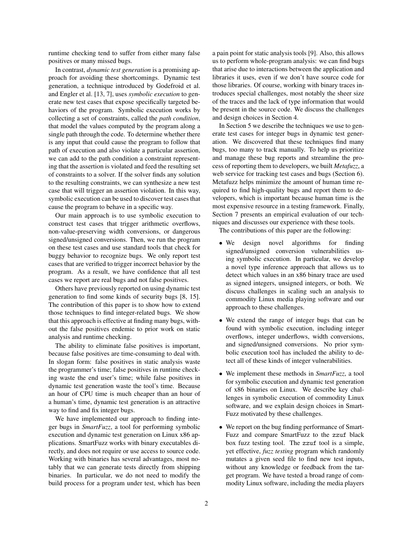runtime checking tend to suffer from either many false positives or many missed bugs.

In contrast, *dynamic test generation* is a promising approach for avoiding these shortcomings. Dynamic test generation, a technique introduced by Godefroid et al. and Engler et al. [13, 7], uses *symbolic execution* to generate new test cases that expose specifically targeted behaviors of the program. Symbolic execution works by collecting a set of constraints, called the *path condition*, that model the values computed by the program along a single path through the code. To determine whether there is any input that could cause the program to follow that path of execution and also violate a particular assertion, we can add to the path condition a constraint representing that the assertion is violated and feed the resulting set of constraints to a solver. If the solver finds any solution to the resulting constraints, we can synthesize a new test case that will trigger an assertion violation. In this way, symbolic execution can be used to discover test cases that cause the program to behave in a specific way.

Our main approach is to use symbolic execution to construct test cases that trigger arithmetic overflows, non-value-preserving width conversions, or dangerous signed/unsigned conversions. Then, we run the program on these test cases and use standard tools that check for buggy behavior to recognize bugs. We only report test cases that are verified to trigger incorrect behavior by the program. As a result, we have confidence that all test cases we report are real bugs and not false positives.

Others have previously reported on using dynamic test generation to find some kinds of security bugs [8, 15]. The contribution of this paper is to show how to extend those techniques to find integer-related bugs. We show that this approach is effective at finding many bugs, without the false positives endemic to prior work on static analysis and runtime checking.

The ability to eliminate false positives is important, because false positives are time-consuming to deal with. In slogan form: false positives in static analysis waste the programmer's time; false positives in runtime checking waste the end user's time; while false positives in dynamic test generation waste the tool's time. Because an hour of CPU time is much cheaper than an hour of a human's time, dynamic test generation is an attractive way to find and fix integer bugs.

We have implemented our approach to finding integer bugs in *SmartFuzz*, a tool for performing symbolic execution and dynamic test generation on Linux x86 applications. SmartFuzz works with binary executables directly, and does not require or use access to source code. Working with binaries has several advantages, most notably that we can generate tests directly from shipping binaries. In particular, we do not need to modify the build process for a program under test, which has been a pain point for static analysis tools [9]. Also, this allows us to perform whole-program analysis: we can find bugs that arise due to interactions between the application and libraries it uses, even if we don't have source code for those libraries. Of course, working with binary traces introduces special challenges, most notably the sheer size of the traces and the lack of type information that would be present in the source code. We discuss the challenges and design choices in Section 4.

In Section 5 we describe the techniques we use to generate test cases for integer bugs in dynamic test generation. We discovered that these techniques find many bugs, too many to track manually. To help us prioritize and manage these bug reports and streamline the process of reporting them to developers, we built *Metafuzz*, a web service for tracking test cases and bugs (Section 6). Metafuzz helps minimize the amount of human time required to find high-quality bugs and report them to developers, which is important because human time is the most expensive resource in a testing framework. Finally, Section 7 presents an empirical evaluation of our techniques and discusses our experience with these tools.

The contributions of this paper are the following:

- We design novel algorithms for finding signed/unsigned conversion vulnerabilities using symbolic execution. In particular, we develop a novel type inference approach that allows us to detect which values in an x86 binary trace are used as signed integers, unsigned integers, or both. We discuss challenges in scaling such an analysis to commodity Linux media playing software and our approach to these challenges.
- We extend the range of integer bugs that can be found with symbolic execution, including integer overflows, integer underflows, width conversions, and signed/unsigned conversions. No prior symbolic execution tool has included the ability to detect all of these kinds of integer vulnerabilities.
- We implement these methods in *SmartFuzz*, a tool for symbolic execution and dynamic test generation of x86 binaries on Linux. We describe key challenges in symbolic execution of commodity Linux software, and we explain design choices in Smart-Fuzz motivated by these challenges.
- We report on the bug finding performance of Smart-Fuzz and compare SmartFuzz to the zzuf black box fuzz testing tool. The zzuf tool is a simple, yet effective, *fuzz testing* program which randomly mutates a given seed file to find new test inputs, without any knowledge or feedback from the target program. We have tested a broad range of commodity Linux software, including the media players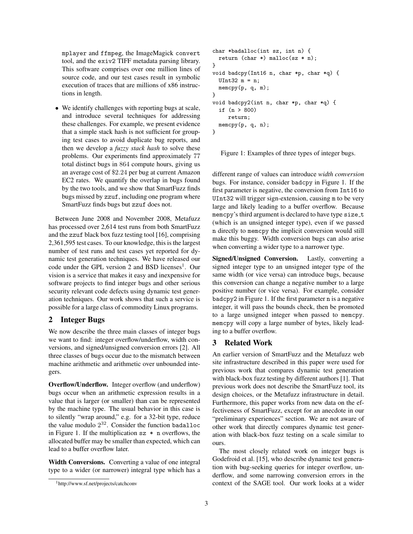mplayer and ffmpeg, the ImageMagick convert tool, and the exiv2 TIFF metadata parsing library. This software comprises over one million lines of source code, and our test cases result in symbolic execution of traces that are millions of x86 instructions in length.

• We identify challenges with reporting bugs at scale, and introduce several techniques for addressing these challenges. For example, we present evidence that a simple stack hash is not sufficient for grouping test cases to avoid duplicate bug reports, and then we develop a *fuzzy stack hash* to solve these problems. Our experiments find approximately 77 total distinct bugs in 864 compute hours, giving us an average cost of \$2.24 per bug at current Amazon EC2 rates. We quantify the overlap in bugs found by the two tools, and we show that SmartFuzz finds bugs missed by zzuf, including one program where SmartFuzz finds bugs but zzuf does not.

Between June 2008 and November 2008, Metafuzz has processed over 2,614 test runs from both SmartFuzz and the zzuf black box fuzz testing tool [16], comprising 2,361,595 test cases. To our knowledge, this is the largest number of test runs and test cases yet reported for dynamic test generation techniques. We have released our code under the GPL version 2 and BSD licenses<sup>1</sup>. Our vision is a service that makes it easy and inexpensive for software projects to find integer bugs and other serious security relevant code defects using dynamic test generation techniques. Our work shows that such a service is possible for a large class of commodity Linux programs.

#### 2 Integer Bugs

We now describe the three main classes of integer bugs we want to find: integer overflow/underflow, width conversions, and signed/unsigned conversion errors [2]. All three classes of bugs occur due to the mismatch between machine arithmetic and arithmetic over unbounded integers.

Overflow/Underflow. Integer overflow (and underflow) bugs occur when an arithmetic expression results in a value that is larger (or smaller) than can be represented by the machine type. The usual behavior in this case is to silently "wrap around," e.g. for a 32-bit type, reduce the value modulo  $2^{32}$ . Consider the function badalloc in Figure 1. If the multiplication  $sz * n$  overflows, the allocated buffer may be smaller than expected, which can lead to a buffer overflow later.

Width Conversions. Converting a value of one integral type to a wider (or narrower) integral type which has a

```
char *badalloc(int sz, int n) {
 return (char *) malloc(sz * n);
}
void badcpy(Int16 n, char *p, char *q) {
  UInt32 m = n;
 memcpy(p, q, m);
}
void badcpy2(int n, char *p, char *q) {
  if (n > 800)
     return;
 memcpy(p, q, n);
}
```
Figure 1: Examples of three types of integer bugs.

different range of values can introduce *width conversion* bugs. For instance, consider badcpy in Figure 1. If the first parameter is negative, the conversion from Int16 to UInt32 will trigger sign-extension, causing m to be very large and likely leading to a buffer overflow. Because memcpy's third argument is declared to have type size\_t (which is an unsigned integer type), even if we passed n directly to memcpy the implicit conversion would still make this buggy. Width conversion bugs can also arise when converting a wider type to a narrower type.

Signed/Unsigned Conversion. Lastly, converting a signed integer type to an unsigned integer type of the same width (or vice versa) can introduce bugs, because this conversion can change a negative number to a large positive number (or vice versa). For example, consider badcpy2 in Figure 1. If the first parameter n is a negative integer, it will pass the bounds check, then be promoted to a large unsigned integer when passed to memcpy. memcpy will copy a large number of bytes, likely leading to a buffer overflow.

#### 3 Related Work

An earlier version of SmartFuzz and the Metafuzz web site infrastructure described in this paper were used for previous work that compares dynamic test generation with black-box fuzz testing by different authors [1]. That previous work does not describe the SmartFuzz tool, its design choices, or the Metafuzz infrastructure in detail. Furthermore, this paper works from new data on the effectiveness of SmartFuzz, except for an anecdote in our "preliminary experiences" section. We are not aware of other work that directly compares dynamic test generation with black-box fuzz testing on a scale similar to ours.

The most closely related work on integer bugs is Godefroid et al. [15], who describe dynamic test generation with bug-seeking queries for integer overflow, underflow, and some narrowing conversion errors in the context of the SAGE tool. Our work looks at a wider

<sup>1</sup>http://www.sf.net/projects/catchconv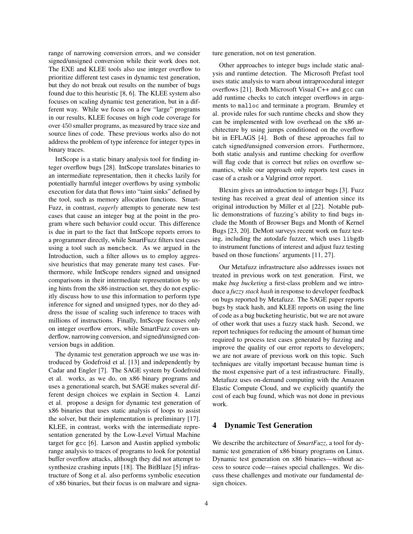range of narrowing conversion errors, and we consider signed/unsigned conversion while their work does not. The EXE and KLEE tools also use integer overflow to prioritize different test cases in dynamic test generation, but they do not break out results on the number of bugs found due to this heuristic [8, 6]. The KLEE system also focuses on scaling dynamic test generation, but in a different way. While we focus on a few "large" programs in our results, KLEE focuses on high code coverage for over 450 smaller programs, as measured by trace size and source lines of code. These previous works also do not address the problem of type inference for integer types in binary traces.

IntScope is a static binary analysis tool for finding integer overflow bugs [28]. IntScope translates binaries to an intermediate representation, then it checks lazily for potentially harmful integer overflows by using symbolic execution for data that flows into "taint sinks" defined by the tool, such as memory allocation functions. Smart-Fuzz, in contrast, *eagerly* attempts to generate new test cases that cause an integer bug at the point in the program where such behavior could occur. This difference is due in part to the fact that IntScope reports errors to a programmer directly, while SmartFuzz filters test cases using a tool such as memcheck. As we argued in the Introduction, such a filter allows us to employ aggressive heuristics that may generate many test cases. Furthermore, while IntScope renders signed and unsigned comparisons in their intermediate representation by using hints from the x86 instruction set, they do not explicitly discuss how to use this information to perform type inference for signed and unsigned types, nor do they address the issue of scaling such inference to traces with millions of instructions. Finally, IntScope focuses only on integer overflow errors, while SmartFuzz covers underflow, narrowing conversion, and signed/unsigned conversion bugs in addition.

The dynamic test generation approach we use was introduced by Godefroid et al. [13] and independently by Cadar and Engler [7]. The SAGE system by Godefroid et al. works, as we do, on x86 binary programs and uses a generational search, but SAGE makes several different design choices we explain in Section 4. Lanzi et al. propose a design for dynamic test generation of x86 binaries that uses static analysis of loops to assist the solver, but their implementation is preliminary [17]. KLEE, in contrast, works with the intermediate representation generated by the Low-Level Virtual Machine target for gcc [6]. Larson and Austin applied symbolic range analysis to traces of programs to look for potential buffer overflow attacks, although they did not attempt to synthesize crashing inputs [18]. The BitBlaze [5] infrastructure of Song et al. also performs symbolic execution of x86 binaries, but their focus is on malware and signature generation, not on test generation.

Other approaches to integer bugs include static analysis and runtime detection. The Microsoft Prefast tool uses static analysis to warn about intraprocedural integer overflows [21]. Both Microsoft Visual C++ and gcc can add runtime checks to catch integer overflows in arguments to malloc and terminate a program. Brumley et al. provide rules for such runtime checks and show they can be implemented with low overhead on the x86 architecture by using jumps conditioned on the overflow bit in EFLAGS [4]. Both of these approaches fail to catch signed/unsigned conversion errors. Furthermore, both static analysis and runtime checking for overflow will flag code that is correct but relies on overflow semantics, while our approach only reports test cases in case of a crash or a Valgrind error report.

Blexim gives an introduction to integer bugs [3]. Fuzz testing has received a great deal of attention since its original introduction by Miller et al [22]. Notable public demonstrations of fuzzing's ability to find bugs include the Month of Browser Bugs and Month of Kernel Bugs [23, 20]. DeMott surveys recent work on fuzz testing, including the autodafe fuzzer, which uses libgdb to instrument functions of interest and adjust fuzz testing based on those functions' arguments [11, 27].

Our Metafuzz infrastructure also addresses issues not treated in previous work on test generation. First, we make *bug bucketing* a first-class problem and we introduce a *fuzzy stack hash* in response to developer feedback on bugs reported by Metafuzz. The SAGE paper reports bugs by stack hash, and KLEE reports on using the line of code as a bug bucketing heuristic, but we are not aware of other work that uses a fuzzy stack hash. Second, we report techniques for reducing the amount of human time required to process test cases generated by fuzzing and improve the quality of our error reports to developers; we are not aware of previous work on this topic. Such techniques are vitally important because human time is the most expensive part of a test infrastructure. Finally, Metafuzz uses on-demand computing with the Amazon Elastic Compute Cloud, and we explicitly quantify the cost of each bug found, which was not done in previous work.

#### 4 Dynamic Test Generation

We describe the architecture of *SmartFuzz*, a tool for dynamic test generation of x86 binary programs on Linux. Dynamic test generation on x86 binaries—without access to source code—raises special challenges. We discuss these challenges and motivate our fundamental design choices.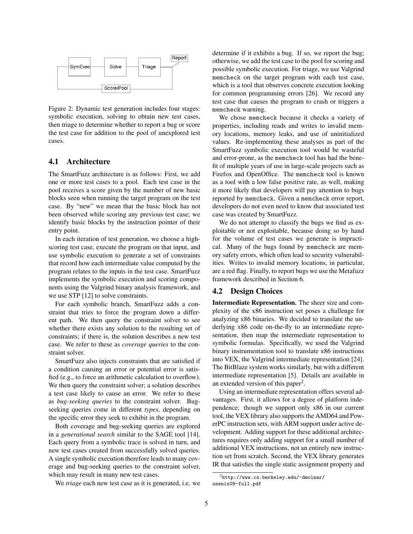

Figure 2: Dynamic test generation includes four stages: symbolic execution, solving to obtain new test cases, then triage to determine whether to report a bug or score the test case for addition to the pool of unexplored test cases.

#### 4.1 Architecture

The SmartFuzz architecture is as follows: First, we add one or more test cases to a pool. Each test case in the pool receives a score given by the number of new basic blocks seen when running the target program on the test case. By "new" we mean that the basic block has not been observed while scoring any previous test case; we identify basic blocks by the instruction pointer of their entry point.

In each iteration of test generation, we choose a highscoring test case, execute the program on that input, and use symbolic execution to generate a set of constraints that record how each intermediate value computed by the program relates to the inputs in the test case. SmartFuzz implements the symbolic execution and scoring components using the Valgrind binary analysis framework, and we use STP [12] to solve constraints.

For each symbolic branch, SmartFuzz adds a constraint that tries to force the program down a different path. We then query the constraint solver to see whether there exists any solution to the resulting set of constraints; if there is, the solution describes a new test case. We refer to these as *coverage queries* to the constraint solver.

SmartFuzz also injects constraints that are satisfied if a condition causing an error or potential error is satisfied (e.g., to force an arithmetic calculation to overflow). We then query the constraint solver; a solution describes a test case likely to cause an error. We refer to these as *bug-seeking queries* to the constraint solver. Bugseeking queries come in different *types*, depending on the specific error they seek to exhibit in the program.

Both coverage and bug-seeking queries are explored in a *generational search* similar to the SAGE tool [14]. Each query from a symbolic trace is solved in turn, and new test cases created from successfully solved queries. A single symbolic execution therefore leads to many coverage and bug-seeking queries to the constraint solver, which may result in many new test cases.

We *triage* each new test case as it is generated, i.e. we

determine if it exhibits a bug. If so, we report the bug; otherwise, we add the test case to the pool for scoring and possible symbolic execution. For triage, we use Valgrind memcheck on the target program with each test case, which is a tool that observes concrete execution looking for common programming errors [26]. We record any test case that causes the program to crash or triggers a memcheck warning.

We chose memcheck because it checks a variety of properties, including reads and writes to invalid memory locations, memory leaks, and use of uninitialized values. Re-implementing these analyses as part of the SmartFuzz symbolic execution tool would be wasteful and error-prone, as the memcheck tool has had the benefit of multiple years of use in large-scale projects such as Firefox and OpenOffice. The memcheck tool is known as a tool with a low false positive rate, as well, making it more likely that developers will pay attention to bugs reported by memcheck. Given a memcheck error report, developers do not even need to know that associated test case was created by SmartFuzz.

We do not attempt to classify the bugs we find as exploitable or not exploitable, because doing so by hand for the volume of test cases we generate is impractical. Many of the bugs found by memcheck are memory safety errors, which often lead to security vulnerabilities. Writes to invalid memory locations, in particular, are a red flag. Finally, to report bugs we use the Metafuzz framework described in Section 6.

#### 4.2 Design Choices

Intermediate Representation. The sheer size and complexity of the x86 instruction set poses a challenge for analyzing x86 binaries. We decided to translate the underlying x86 code on-the-fly to an intermediate representation, then map the intermediate representation to symbolic formulas. Specifically, we used the Valgrind binary instrumentation tool to translate x86 instructions into VEX, the Valgrind intermediate representation [24]. The BitBlaze system works similarly, but with a different intermediate representation [5]. Details are available in an extended version of this paper<sup>2</sup>.

Using an intermediate representation offers several advantages. First, it allows for a degree of platform independence: though we support only x86 in our current tool, the VEX library also supports the AMD64 and PowerPC instruction sets, with ARM support under active development. Adding support for these additional architectures requires only adding support for a small number of additional VEX instructions, not an entirely new instruction set from scratch. Second, the VEX library generates IR that satisfies the single static assignment property and

 $^{2}$ http://www.cs.berkeley.edu/~dmolnar/ usenix09-full.pdf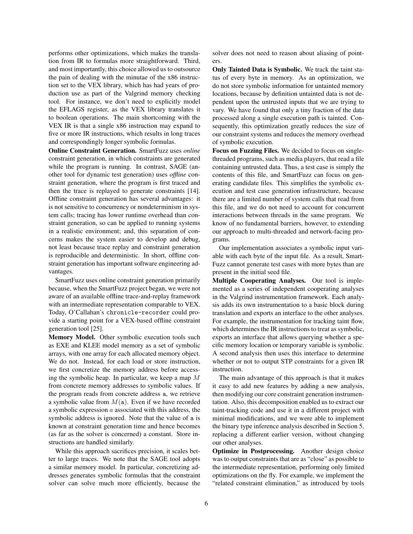performs other optimizations, which makes the translation from IR to formulas more straightforward. Third, and most importantly, this choice allowed us to outsource the pain of dealing with the minutae of the x86 instruction set to the VEX library, which has had years of production use as part of the Valgrind memory checking tool. For instance, we don't need to explicitly model the EFLAGS register, as the VEX library translates it to boolean operations. The main shortcoming with the VEX IR is that a single x86 instruction may expand to five or more IR instructions, which results in long traces and correspondingly longer symbolic formulas.

Online Constraint Generation. SmartFuzz uses *online* constraint generation, in which constraints are generated while the program is running. In contrast, SAGE (another tool for dynamic test generation) uses *offline* constraint generation, where the program is first traced and then the trace is replayed to generate constraints [14]. Offline constraint generation has several advantages: it is not sensitive to concurrency or nondeterminism in system calls; tracing has lower runtime overhead than constraint generation, so can be applied to running systems in a realistic environment; and, this separation of concerns makes the system easier to develop and debug, not least because trace replay and constraint generation is reproducible and deterministic. In short, offline constraint generation has important software engineering advantages.

SmartFuzz uses online constraint generation primarily because, when the SmartFuzz project began, we were not aware of an available offline trace-and-replay framework with an intermediate representation comparable to VEX. Today, O'Callahan's chronicle-recorder could provide a starting point for a VEX-based offline constraint generation tool [25].

Memory Model. Other symbolic execution tools such as EXE and KLEE model memory as a set of symbolic arrays, with one array for each allocated memory object. We do not. Instead, for each load or store instruction, we first concretize the memory address before accessing the symbolic heap. In particular, we keep a map  $M$ from concrete memory addresses to symbolic values. If the program reads from concrete address a, we retrieve a symbolic value from  $M(a)$ . Even if we have recorded a symbolic expression  $a$  associated with this address, the symbolic address is ignored. Note that the value of a is known at constraint generation time and hence becomes (as far as the solver is concerned) a constant. Store instructions are handled similarly.

While this approach sacrifices precision, it scales better to large traces. We note that the SAGE tool adopts a similar memory model. In particular, concretizing addresses generates symbolic formulas that the constraint solver can solve much more efficiently, because the solver does not need to reason about aliasing of pointers.

Only Tainted Data is Symbolic. We track the taint status of every byte in memory. As an optimization, we do not store symbolic information for untainted memory locations, because by definition untainted data is not dependent upon the untrusted inputs that we are trying to vary. We have found that only a tiny fraction of the data processed along a single execution path is tainted. Consequently, this optimization greatly reduces the size of our constraint systems and reduces the memory overhead of symbolic execution.

Focus on Fuzzing Files. We decided to focus on singlethreaded programs, such as media players, that read a file containing untrusted data. Thus, a test case is simply the contents of this file, and SmartFuzz can focus on generating candidate files. This simplifies the symbolic execution and test case generation infrastructure, because there are a limited number of system calls that read from this file, and we do not need to account for concurrent interactions between threads in the same program. We know of no fundamental barriers, however, to extending our approach to multi-threaded and network-facing programs.

Our implementation associates a symbolic input variable with each byte of the input file. As a result, Smart-Fuzz cannot generate test cases with more bytes than are present in the initial seed file.

Multiple Cooperating Analyses. Our tool is implemented as a series of independent cooperating analyses in the Valgrind instrumentation framework. Each analysis adds its own instrumentation to a basic block during translation and exports an interface to the other analyses. For example, the instrumentation for tracking taint flow, which determines the IR instructions to treat as symbolic, exports an interface that allows querying whether a specific memory location or temporary variable is symbolic. A second analysis then uses this interface to determine whether or not to output STP constraints for a given IR instruction.

The main advantage of this approach is that it makes it easy to add new features by adding a new analysis, then modifying our core constraint generation instrumentation. Also, this decomposition enabled us to extract our taint-tracking code and use it in a different project with minimal modifications, and we were able to implement the binary type inference analysis described in Section 5, replacing a different earlier version, without changing our other analyses.

Optimize in Postprocessing. Another design choice was to output constraints that are as "close" as possible to the intermediate representation, performing only limited optimizations on the fly. For example, we implement the "related constraint elimination," as introduced by tools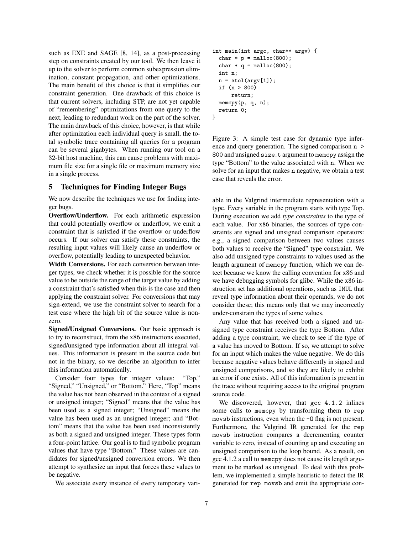such as EXE and SAGE [8, 14], as a post-processing step on constraints created by our tool. We then leave it up to the solver to perform common subexpression elimination, constant propagation, and other optimizations. The main benefit of this choice is that it simplifies our constraint generation. One drawback of this choice is that current solvers, including STP, are not yet capable of "remembering" optimizations from one query to the next, leading to redundant work on the part of the solver. The main drawback of this choice, however, is that while after optimization each individual query is small, the total symbolic trace containing all queries for a program can be several gigabytes. When running our tool on a 32-bit host machine, this can cause problems with maximum file size for a single file or maximum memory size in a single process.

#### 5 Techniques for Finding Integer Bugs

We now describe the techniques we use for finding integer bugs.

Overflow/Underflow. For each arithmetic expression that could potentially overflow or underflow, we emit a constraint that is satisfied if the overflow or underflow occurs. If our solver can satisfy these constraints, the resulting input values will likely cause an underflow or overflow, potentially leading to unexpected behavior.

Width Conversions. For each conversion between integer types, we check whether it is possible for the source value to be outside the range of the target value by adding a constraint that's satisfied when this is the case and then applying the constraint solver. For conversions that may sign-extend, we use the constraint solver to search for a test case where the high bit of the source value is nonzero.

Signed/Unsigned Conversions. Our basic approach is to try to reconstruct, from the x86 instructions executed, signed/unsigned type information about all integral values. This information is present in the source code but not in the binary, so we describe an algorithm to infer this information automatically.

Consider four types for integer values: "Top," "Signed," "Unsigned," or "Bottom." Here, "Top" means the value has not been observed in the context of a signed or unsigned integer; "Signed" means that the value has been used as a signed integer; "Unsigned" means the value has been used as an unsigned integer; and "Bottom" means that the value has been used inconsistently as both a signed and unsigned integer. These types form a four-point lattice. Our goal is to find symbolic program values that have type "Bottom." These values are candidates for signed/unsigned conversion errors. We then attempt to synthesize an input that forces these values to be negative.

We associate every instance of every temporary vari-

```
int main(int argc, char** argv) {
  char * p = malloc(800);
  char * q = \text{malloc}(800);
  int n;
  n = \text{atol}(\arg v[1]);if (n > 800)
      return;
  memcpy(p, q, n);
  return 0;
}
```
Figure 3: A simple test case for dynamic type inference and query generation. The signed comparison n > 800 and unsigned size\_t argument to memcpy assign the type "Bottom" to the value associated with n. When we solve for an input that makes n negative, we obtain a test case that reveals the error.

able in the Valgrind intermediate representation with a type. Every variable in the program starts with type Top. During execution we add *type constraints* to the type of each value. For x86 binaries, the sources of type constraints are signed and unsigned comparison operators: e.g., a signed comparison between two values causes both values to receive the "Signed" type constraint. We also add unsigned type constraints to values used as the length argument of memcpy function, which we can detect because we know the calling convention for x86 and we have debugging symbols for glibc. While the x86 instruction set has additional operations, such as IMUL that reveal type information about their operands, we do not consider these; this means only that we may incorrectly under-constrain the types of some values.

Any value that has received both a signed and unsigned type constraint receives the type Bottom. After adding a type constraint, we check to see if the type of a value has moved to Bottom. If so, we attempt to solve for an input which makes the value negative. We do this because negative values behave differently in signed and unsigned comparisons, and so they are likely to exhibit an error if one exists. All of this information is present in the trace without requiring access to the original program source code.

We discovered, however, that gcc 4.1.2 inlines some calls to memcpy by transforming them to rep movsb instructions, even when the -O flag is not present. Furthermore, the Valgrind IR generated for the rep movsb instruction compares a decrementing counter variable to zero, instead of counting up and executing an unsigned comparison to the loop bound. As a result, on gcc 4.1.2 a call to memcpy does not cause its length argument to be marked as unsigned. To deal with this problem, we implemented a simple heuristic to detect the IR generated for rep movsb and emit the appropriate con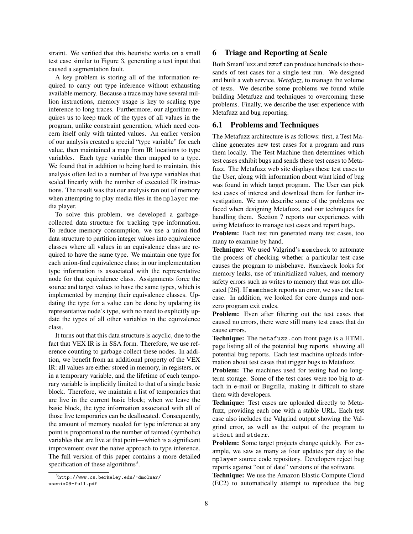straint. We verified that this heuristic works on a small test case similar to Figure 3, generating a test input that caused a segmentation fault.

A key problem is storing all of the information required to carry out type inference without exhausting available memory. Because a trace may have several million instructions, memory usage is key to scaling type inference to long traces. Furthermore, our algorithm requires us to keep track of the types of all values in the program, unlike constraint generation, which need concern itself only with tainted values. An earlier version of our analysis created a special "type variable" for each value, then maintained a map from IR locations to type variables. Each type variable then mapped to a type. We found that in addition to being hard to maintain, this analysis often led to a number of live type variables that scaled linearly with the number of executed IR instructions. The result was that our analysis ran out of memory when attempting to play media files in the mplayer media player.

To solve this problem, we developed a garbagecollected data structure for tracking type information. To reduce memory consumption, we use a union-find data structure to partition integer values into equivalence classes where all values in an equivalence class are required to have the same type. We maintain one type for each union-find equivalence class; in our implementation type information is associated with the representative node for that equivalence class. Assignments force the source and target values to have the same types, which is implemented by merging their equivalence classes. Updating the type for a value can be done by updating its representative node's type, with no need to explicitly update the types of all other variables in the equivalence class.

It turns out that this data structure is acyclic, due to the fact that VEX IR is in SSA form. Therefore, we use reference counting to garbage collect these nodes. In addition, we benefit from an additional property of the VEX IR: all values are either stored in memory, in registers, or in a temporary variable, and the lifetime of each temporary variable is implicitly limited to that of a single basic block. Therefore, we maintain a list of temporaries that are live in the current basic block; when we leave the basic block, the type information associated with all of those live temporaries can be deallocated. Consequently, the amount of memory needed for type inference at any point is proportional to the number of tainted (symbolic) variables that are live at that point—which is a significant improvement over the naive approach to type inference. The full version of this paper contains a more detailed specification of these algorithms<sup>3</sup>.

#### 6 Triage and Reporting at Scale

Both SmartFuzz and zzuf can produce hundreds to thousands of test cases for a single test run. We designed and built a web service, *Metafuzz*, to manage the volume of tests. We describe some problems we found while building Metafuzz and techniques to overcoming these problems. Finally, we describe the user experience with Metafuzz and bug reporting.

#### 6.1 Problems and Techniques

The Metafuzz architecture is as follows: first, a Test Machine generates new test cases for a program and runs them locally. The Test Machine then determines which test cases exhibit bugs and sends these test cases to Metafuzz. The Metafuzz web site displays these test cases to the User, along with information about what kind of bug was found in which target program. The User can pick test cases of interest and download them for further investigation. We now describe some of the problems we faced when designing Metafuzz, and our techniques for handling them. Section 7 reports our experiences with using Metafuzz to manage test cases and report bugs.

Problem: Each test run generated many test cases, too many to examine by hand.

Technique: We used Valgrind's memcheck to automate the process of checking whether a particular test case causes the program to misbehave. Memcheck looks for memory leaks, use of uninitialized values, and memory safety errors such as writes to memory that was not allocated [26]. If memcheck reports an error, we save the test case. In addition, we looked for core dumps and nonzero program exit codes.

Problem: Even after filtering out the test cases that caused no errors, there were still many test cases that do cause errors.

Technique: The metafuzz.com front page is a HTML page listing all of the potential bug reports. showing all potential bug reports. Each test machine uploads information about test cases that trigger bugs to Metafuzz.

Problem: The machines used for testing had no longterm storage. Some of the test cases were too big to attach in e-mail or Bugzilla, making it difficult to share them with developers.

Technique: Test cases are uploaded directly to Metafuzz, providing each one with a stable URL. Each test case also includes the Valgrind output showing the Valgrind error, as well as the output of the program to stdout and stderr.

Problem: Some target projects change quickly. For example, we saw as many as four updates per day to the mplayer source code repository. Developers reject bug reports against "out of date" versions of the software.

Technique: We use the Amazon Elastic Compute Cloud (EC2) to automatically attempt to reproduce the bug

 $3$ http://www.cs.berkeley.edu/~dmolnar/ usenix09-full.pdf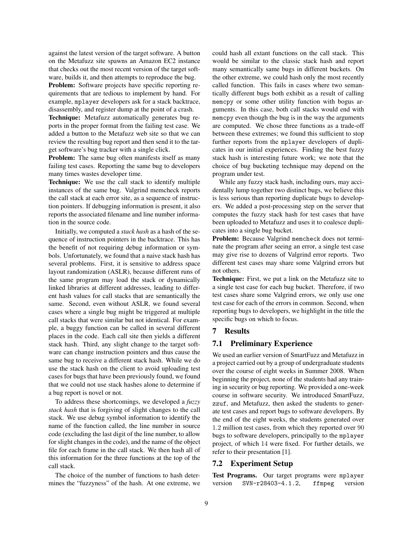against the latest version of the target software. A button on the Metafuzz site spawns an Amazon EC2 instance that checks out the most recent version of the target software, builds it, and then attempts to reproduce the bug.

Problem: Software projects have specific reporting requirements that are tedious to implement by hand. For example, mplayer developers ask for a stack backtrace, disassembly, and register dump at the point of a crash.

Technique: Metafuzz automatically generates bug reports in the proper format from the failing test case. We added a button to the Metafuzz web site so that we can review the resulting bug report and then send it to the target software's bug tracker with a single click.

**Problem:** The same bug often manifests itself as many failing test cases. Reporting the same bug to developers many times wastes developer time.

Technique: We use the call stack to identify multiple instances of the same bug. Valgrind memcheck reports the call stack at each error site, as a sequence of instruction pointers. If debugging information is present, it also reports the associated filename and line number information in the source code.

Initially, we computed a *stack hash* as a hash of the sequence of instruction pointers in the backtrace. This has the benefit of not requiring debug information or symbols. Unfortunately, we found that a naive stack hash has several problems. First, it is sensitive to address space layout randomization (ASLR), because different runs of the same program may load the stack or dynamically linked libraries at different addresses, leading to different hash values for call stacks that are semantically the same. Second, even without ASLR, we found several cases where a single bug might be triggered at multiple call stacks that were similar but not identical. For example, a buggy function can be called in several different places in the code. Each call site then yields a different stack hash. Third, any slight change to the target software can change instruction pointers and thus cause the same bug to receive a different stack hash. While we do use the stack hash on the client to avoid uploading test cases for bugs that have been previously found, we found that we could not use stack hashes alone to determine if a bug report is novel or not.

To address these shortcomings, we developed a *fuzzy stack hash* that is forgiving of slight changes to the call stack. We use debug symbol information to identify the name of the function called, the line number in source code (excluding the last digit of the line number, to allow for slight changes in the code), and the name of the object file for each frame in the call stack. We then hash all of this information for the three functions at the top of the call stack.

The choice of the number of functions to hash determines the "fuzzyness" of the hash. At one extreme, we could hash all extant functions on the call stack. This would be similar to the classic stack hash and report many semantically same bugs in different buckets. On the other extreme, we could hash only the most recently called function. This fails in cases where two semantically different bugs both exhibit as a result of calling memcpy or some other utility function with bogus arguments. In this case, both call stacks would end with memcpy even though the bug is in the way the arguments are computed. We chose three functions as a trade-off between these extremes; we found this sufficient to stop further reports from the mplayer developers of duplicates in our initial experiences. Finding the best fuzzy stack hash is interesting future work; we note that the choice of bug bucketing technique may depend on the program under test.

While any fuzzy stack hash, including ours, may accidentally lump together two distinct bugs, we believe this is less serious than reporting duplicate bugs to developers. We added a post-processing step on the server that computes the fuzzy stack hash for test cases that have been uploaded to Metafuzz and uses it to coalesce duplicates into a single bug bucket.

Problem: Because Valgrind memcheck does not terminate the program after seeing an error, a single test case may give rise to dozens of Valgrind error reports. Two different test cases may share some Valgrind errors but not others.

Technique: First, we put a link on the Metafuzz site to a single test case for each bug bucket. Therefore, if two test cases share some Valgrind errors, we only use one test case for each of the errors in common. Second, when reporting bugs to developers, we highlight in the title the specific bugs on which to focus.

#### 7 Results

#### 7.1 Preliminary Experience

We used an earlier version of SmartFuzz and Metafuzz in a project carried out by a group of undergraduate students over the course of eight weeks in Summer 2008. When beginning the project, none of the students had any training in security or bug reporting. We provided a one-week course in software security. We introduced SmartFuzz, zzuf, and Metafuzz, then asked the students to generate test cases and report bugs to software developers. By the end of the eight weeks, the students generated over 1.2 million test cases, from which they reported over 90 bugs to software developers, principally to the mplayer project, of which 14 were fixed. For further details, we refer to their presentation [1].

#### 7.2 Experiment Setup

Test Programs. Our target programs were mplayer version SVN-r28403-4.1.2, ffmpeg version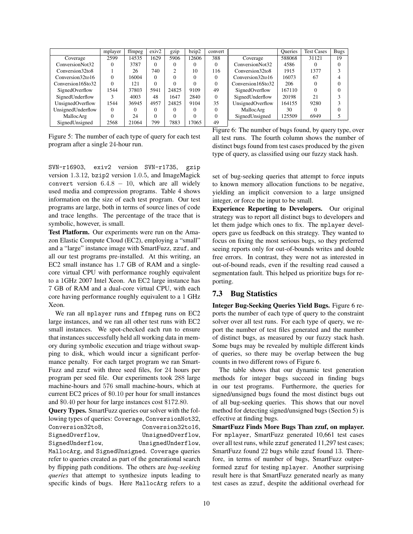|                   | mplayer  | ffmpeg | exiv2    | gzip   | bzip2    | convert  |                   | <b>Oueries</b> | <b>Test Cases</b> | <b>Bugs</b> |
|-------------------|----------|--------|----------|--------|----------|----------|-------------------|----------------|-------------------|-------------|
| Coverage          | 2599     | 14535  | 1629     | 5906   | 12606    | 388      | Coverage          | 588068         | 31121             | 19          |
| ConversionNot32   |          | 3787   | $\Omega$ | 0      | 0        | $\Omega$ | ConversionNot32   | 4586           |                   |             |
| Conversion32to8   |          | 26     | 740      | $\sim$ | 10       | 116      | Conversion32to8   | 1915           | 1377              |             |
| Conversion32to16  |          | 16004  | $\Omega$ | O      | $\Omega$ |          | Conversion32to16  | 16073          | 67                |             |
| Conversion16Sto32 |          | 121    | 0        |        | 0        |          | Conversion16Sto32 | 206            |                   |             |
| SignedOverflow    | 1544     | 37803  | 5941     | 24825  | 9109     | 49       | SignedOverflow    | 167110         |                   |             |
| SignedUnderflow   |          | 4003   | 48       | 1647   | 2840     | $\Omega$ | SignedUnderflow   | 20198          | 21                |             |
| UnsignedOverflow  | 1544     | 36945  | 4957     | 24825  | 9104     | 35       | UnsignedOverflow  | 164155         | 9280              |             |
| UnsignedUnderflow | $\Omega$ | 0      | 0        | 0      | $\Omega$ | $\Omega$ | MallocArg         | 30             |                   |             |
| MallocArg         |          | 24     | $\Omega$ | 0      | $\Omega$ | $\Omega$ | SignedUnsigned    | 125509         | 6949              |             |
| SignedUnsigned    | 2568     | 21064  | 799      | 7883   | 17065    | 49       |                   |                |                   |             |

Figure 5: The number of each type of query for each test program after a single 24-hour run.

Figure 6: The number of bugs found, by query type, over all test runs. The fourth column shows the number of distinct bugs found from test cases produced by the given type of query, as classified using our fuzzy stack hash.

SVN-r16903, exiv2 version SVN-r1735, gzip version 1.3.12, bzip2 version 1.0.5, and ImageMagick convert version  $6.4.8 - 10$ , which are all widely used media and compression programs. Table 4 shows information on the size of each test program. Our test programs are large, both in terms of source lines of code and trace lengths. The percentage of the trace that is symbolic, however, is small.

Test Platform. Our experiments were run on the Amazon Elastic Compute Cloud (EC2), employing a "small" and a "large" instance image with SmartFuzz, zzuf, and all our test programs pre-installed. At this writing, an EC2 small instance has 1.7 GB of RAM and a singlecore virtual CPU with performance roughly equivalent to a 1GHz 2007 Intel Xeon. An EC2 large instance has 7 GB of RAM and a dual-core virtual CPU, with each core having performance roughly equivalent to a 1 GHz Xeon.

We ran all mplayer runs and ffmpeg runs on EC2 large instances, and we ran all other test runs with EC2 small instances. We spot-checked each run to ensure that instances successfully held all working data in memory during symbolic execution and triage without swapping to disk, which would incur a significant performance penalty. For each target program we ran Smart-Fuzz and zzuf with three seed files, for 24 hours per program per seed file. Our experiments took 288 large machine-hours and 576 small machine-hours, which at current EC2 prices of \$0.10 per hour for small instances and \$0.40 per hour for large instances cost \$172.80.

Query Types. SmartFuzz queries our solver with the following types of queries: Coverage, ConversionNot32, Conversion32to8, Conversion32to16, SignedOverflow, UnsignedOverflow, SignedUnderflow, UnsignedUnderflow, MallocArg, and SignedUnsigned. Coverage queries

refer to queries created as part of the generational search by flipping path conditions. The others are *bug-seeking queries* that attempt to synthesize inputs leading to specific kinds of bugs. Here MallocArg refers to a set of bug-seeking queries that attempt to force inputs to known memory allocation functions to be negative, yielding an implicit conversion to a large unsigned integer, or force the input to be small.

Experience Reporting to Developers. Our original strategy was to report all distinct bugs to developers and let them judge which ones to fix. The mplayer developers gave us feedback on this strategy. They wanted to focus on fixing the most serious bugs, so they preferred seeing reports only for out-of-bounds writes and double free errors. In contrast, they were not as interested in out-of-bound reads, even if the resulting read caused a segmentation fault. This helped us prioritize bugs for reporting.

## 7.3 Bug Statistics

Integer Bug-Seeking Queries Yield Bugs. Figure 6 reports the number of each type of query to the constraint solver over all test runs. For each type of query, we report the number of test files generated and the number of distinct bugs, as measured by our fuzzy stack hash. Some bugs may be revealed by multiple different kinds of queries, so there may be overlap between the bug counts in two different rows of Figure 6.

The table shows that our dynamic test generation methods for integer bugs succeed in finding bugs in our test programs. Furthermore, the queries for signed/unsigned bugs found the most distinct bugs out of all bug-seeking queries. This shows that our novel method for detecting signed/unsigned bugs (Section 5) is effective at finding bugs.

SmartFuzz Finds More Bugs Than zzuf, on mplayer. For mplayer, SmartFuzz generated 10,661 test cases over all test runs, while zzuf generated 11,297 test cases; SmartFuzz found 22 bugs while zzuf found 13. Therefore, in terms of number of bugs, SmartFuzz outperformed zzuf for testing mplayer. Another surprising result here is that SmartFuzz generated nearly as many test cases as zzuf, despite the additional overhead for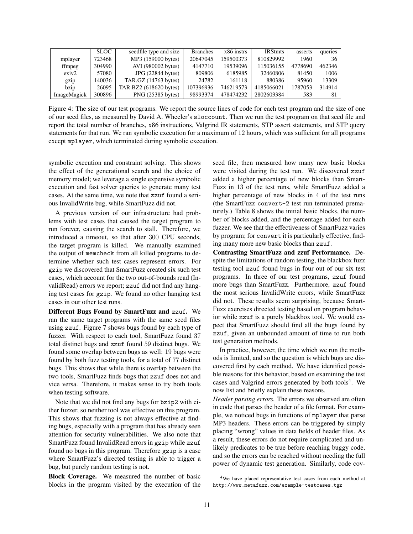|                    | <b>SLOC</b> | seedfile type and size | <b>Branches</b> | x86 instrs | <b>IRStmts</b> | asserts | queries |
|--------------------|-------------|------------------------|-----------------|------------|----------------|---------|---------|
| mplayer            | 723468      | MP3 (159000 bytes)     | 20647045        | 159500373  | 810829992      | 1960    | 36      |
| ffmpeg             | 304990      | AVI (980002 bytes)     | 4147710         | 19539096   | 115036155      | 4778690 | 462346  |
| exiv2              | 57080       | JPG(22844 bytes)       | 809806          | 6185985    | 32460806       | 81450   | 1006    |
| gzip               | 140036      | TAR.GZ $(14763$ bytes) | 24782           | 161118     | 880386         | 95960   | 13309   |
| bzip               | 26095       | TAR.BZ2 (618620 bytes) | 107396936       | 746219573  | 4185066021     | 1787053 | 314914  |
| <b>ImageMagick</b> | 300896      | PNG (25385 bytes)      | 98993374        | 478474232  | 2802603384     | 583     | 81      |

Figure 4: The size of our test programs. We report the source lines of code for each test program and the size of one of our seed files, as measured by David A. Wheeler's sloccount. Then we run the test program on that seed file and report the total number of branches, x86 instructions, Valgrind IR statements, STP assert statements, and STP query statements for that run. We ran symbolic execution for a maximum of 12 hours, which was sufficient for all programs except mplayer, which terminated during symbolic execution.

symbolic execution and constraint solving. This shows the effect of the generational search and the choice of memory model; we leverage a single expensive symbolic execution and fast solver queries to generate many test cases. At the same time, we note that zzuf found a serious InvalidWrite bug, while SmartFuzz did not.

A previous version of our infrastructure had problems with test cases that caused the target program to run forever, causing the search to stall. Therefore, we introduced a timeout, so that after 300 CPU seconds, the target program is killed. We manually examined the output of memcheck from all killed programs to determine whether such test cases represent errors. For gzip we discovered that SmartFuzz created six such test cases, which account for the two out-of-bounds read (InvalidRead) errors we report; zzuf did not find any hanging test cases for gzip. We found no other hanging test cases in our other test runs.

Different Bugs Found by SmartFuzz and zzuf. We ran the same target programs with the same seed files using zzuf. Figure 7 shows bugs found by each type of fuzzer. With respect to each tool, SmartFuzz found 37 total distinct bugs and zzuf found 59 distinct bugs. We found some overlap between bugs as well: 19 bugs were found by both fuzz testing tools, for a total of 77 distinct bugs. This shows that while there is overlap between the two tools, SmartFuzz finds bugs that zzuf does not and vice versa. Therefore, it makes sense to try both tools when testing software.

Note that we did not find any bugs for bzip2 with either fuzzer, so neither tool was effective on this program. This shows that fuzzing is not always effective at finding bugs, especially with a program that has already seen attention for security vulnerabilities. We also note that SmartFuzz found InvalidRead errors in gzip while zzuf found no bugs in this program. Therefore gzip is a case where SmartFuzz's directed testing is able to trigger a bug, but purely random testing is not.

Block Coverage. We measured the number of basic blocks in the program visited by the execution of the seed file, then measured how many new basic blocks were visited during the test run. We discovered zzuf added a higher percentage of new blocks than Smart-Fuzz in 13 of the test runs, while SmartFuzz added a higher percentage of new blocks in 4 of the test runs (the SmartFuzz convert-2 test run terminated prematurely.) Table 8 shows the initial basic blocks, the number of blocks added, and the percentage added for each fuzzer. We see that the effectiveness of SmartFuzz varies by program; for convert it is particularly effective, finding many more new basic blocks than zzuf.

Contrasting SmartFuzz and zzuf Performance. Despite the limitations of random testing, the blackbox fuzz testing tool zzuf found bugs in four out of our six test programs. In three of our test programs, zzuf found more bugs than SmartFuzz. Furthermore, zzuf found the most serious InvalidWrite errors, while SmartFuzz did not. These results seem surprising, because Smart-Fuzz exercises directed testing based on program behavior while zzuf is a purely blackbox tool. We would expect that SmartFuzz should find all the bugs found by zzuf, given an unbounded amount of time to run both test generation methods.

In practice, however, the time which we run the methods is limited, and so the question is which bugs are discovered first by each method. We have identified possible reasons for this behavior, based on examining the test cases and Valgrind errors generated by both tools<sup>4</sup>. We now list and briefly explain these reasons.

*Header parsing errors.* The errors we observed are often in code that parses the header of a file format. For example, we noticed bugs in functions of mplayer that parse MP3 headers. These errors can be triggered by simply placing "wrong" values in data fields of header files. As a result, these errors do not require complicated and unlikely predicates to be true before reaching buggy code, and so the errors can be reached without needing the full power of dynamic test generation. Similarly, code cov-

<sup>4</sup>We have placed representative test cases from each method at http://www.metafuzz.com/example-testcases.tgz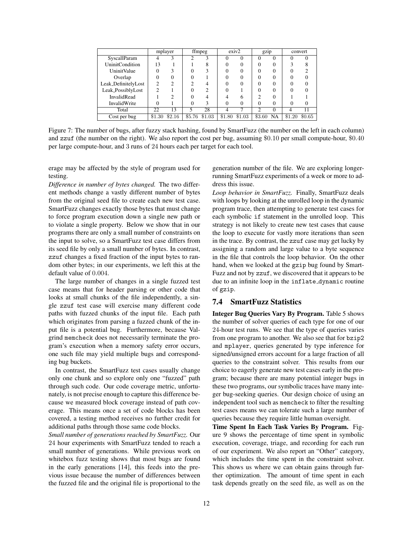|                        |        | mplayer |   | ffmpeg        |        | exiv2  | gzip   |          |        | convert |
|------------------------|--------|---------|---|---------------|--------|--------|--------|----------|--------|---------|
| SyscallParam           | 4      |         |   |               |        |        |        | $_{0}$   |        |         |
| <b>UninitCondition</b> | 13     |         |   |               |        |        |        | $_{0}$   |        |         |
| <b>UninitValue</b>     |        |         |   |               |        |        |        | $\theta$ |        |         |
| Overlap                |        |         |   |               |        |        |        | $\theta$ |        |         |
| Leak_DefinitelyLost    | ◠      | ◠       |   |               |        |        |        | 0        |        |         |
| Leak_PossiblyLost      | ◠      |         |   |               |        |        |        | 0        |        |         |
| InvalidRead            |        |         |   |               |        | h      |        | 0        |        |         |
| InvalidWrite           |        |         |   |               |        |        |        | 0        |        |         |
| Total                  | 22     | 13      | 5 | 28            |        |        | ◠      | 0        | 4      |         |
| Cost per bug           | \$1.30 | \$2.16  |   | \$5.76 \$1.03 | \$1.80 | \$1.03 | \$3.60 | NA       | \$1.20 | \$0.65  |

Figure 7: The number of bugs, after fuzzy stack hashing, found by SmartFuzz (the number on the left in each column) and zzuf (the number on the right). We also report the cost per bug, assuming \$0.10 per small compute-hour, \$0.40 per large compute-hour, and 3 runs of 24 hours each per target for each tool.

erage may be affected by the style of program used for testing.

*Difference in number of bytes changed.* The two different methods change a vastly different number of bytes from the original seed file to create each new test case. SmartFuzz changes exactly those bytes that must change to force program execution down a single new path or to violate a single property. Below we show that in our programs there are only a small number of constraints on the input to solve, so a SmartFuzz test case differs from its seed file by only a small number of bytes. In contrast, zzuf changes a fixed fraction of the input bytes to random other bytes; in our experiments, we left this at the default value of 0.004.

The large number of changes in a single fuzzed test case means that for header parsing or other code that looks at small chunks of the file independently, a single zzuf test case will exercise many different code paths with fuzzed chunks of the input file. Each path which originates from parsing a fuzzed chunk of the input file is a potential bug. Furthermore, because Valgrind memcheck does not necessarily terminate the program's execution when a memory safety error occurs, one such file may yield multiple bugs and corresponding bug buckets.

In contrast, the SmartFuzz test cases usually change only one chunk and so explore only one "fuzzed" path through such code. Our code coverage metric, unfortunately, is not precise enough to capture this difference because we measured block coverage instead of path coverage. This means once a set of code blocks has been covered, a testing method receives no further credit for additional paths through those same code blocks.

*Small number of generations reached by SmartFuzz.* Our 24 hour experiments with SmartFuzz tended to reach a small number of generations. While previous work on whitebox fuzz testing shows that most bugs are found in the early generations [14], this feeds into the previous issue because the number of differences between the fuzzed file and the original file is proportional to the generation number of the file. We are exploring longerrunning SmartFuzz experiments of a week or more to address this issue.

*Loop behavior in SmartFuzz.* Finally, SmartFuzz deals with loops by looking at the unrolled loop in the dynamic program trace, then attempting to generate test cases for each symbolic if statement in the unrolled loop. This strategy is not likely to create new test cases that cause the loop to execute for vastly more iterations than seen in the trace. By contrast, the zzuf case may get lucky by assigning a random and large value to a byte sequence in the file that controls the loop behavior. On the other hand, when we looked at the gzip bug found by Smart-Fuzz and not by zzuf, we discovered that it appears to be due to an infinite loop in the inflate dynamic routine of gzip.

# 7.4 SmartFuzz Statistics

Integer Bug Queries Vary By Program. Table 5 shows the number of solver queries of each type for one of our 24-hour test runs. We see that the type of queries varies from one program to another. We also see that for bzip2 and mplayer, queries generated by type inference for signed/unsigned errors account for a large fraction of all queries to the constraint solver. This results from our choice to eagerly generate new test cases early in the program; because there are many potential integer bugs in these two programs, our symbolic traces have many integer bug-seeking queries. Our design choice of using an independent tool such as memcheck to filter the resulting test cases means we can tolerate such a large number of queries because they require little human oversight.

Time Spent In Each Task Varies By Program. Figure 9 shows the percentage of time spent in symbolic execution, coverage, triage, and recording for each run of our experiment. We also report an "Other" category, which includes the time spent in the constraint solver. This shows us where we can obtain gains through further optimization. The amount of time spent in each task depends greatly on the seed file, as well as on the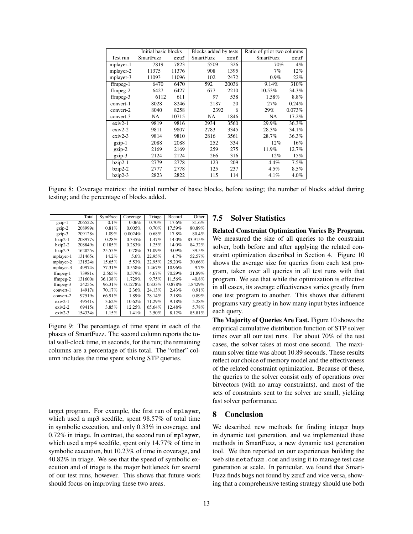|            | Initial basic blocks |       | Blocks added by tests |       | Ratio of prior two columns |        |
|------------|----------------------|-------|-----------------------|-------|----------------------------|--------|
| Test run   | <b>SmartFuzz</b>     | zzuf  | <b>SmartFuzz</b>      | zzuf  | <b>SmartFuzz</b>           | zzuf   |
| mplayer-1  | 7819                 | 7823  | 5509                  | 326   | 70%                        | 4%     |
| mplayer-2  | 11375                | 11376 | 908                   | 1395  | 7%                         | 12%    |
| mplayer-3  | 11093                | 11096 | 102                   | 2472  | 0.9%                       | 22%    |
| $ffmpeg-1$ | 6470                 | 6470  | 592                   | 20036 | 9.14%                      | 310%   |
| $ffmpeg-2$ | 6427                 | 6427  | 677                   | 2210  | 10.53%                     | 34.3%  |
| $ffmpeg-3$ | 6112                 | 611   | 97                    | 538   | 1.58%                      | 8.8%   |
| convert-1  | 8028                 | 8246  | 2187                  | 20    | 27%                        | 0.24%  |
| convert-2  | 8040                 | 8258  | 2392                  | 6     | 29%                        | 0.073% |
| convert-3  | NA                   | 10715 | NA                    | 1846  | NA                         | 17.2%  |
| $exiv2-1$  | 9819                 | 9816  | 2934                  | 3560  | 29.9%                      | 36.3%  |
| $exiv2-2$  | 9811                 | 9807  | 2783                  | 3345  | 28.3%                      | 34.1%  |
| $exiv2-3$  | 9814                 | 9810  | 2816                  | 3561  | 28.7%                      | 36.3%  |
| gzip-1     | 2088                 | 2088  | 252                   | 334   | 12%                        | 16%    |
| $gzip-2$   | 2169                 | 2169  | 259                   | 275   | 11.9%                      | 12.7%  |
| gzip-3     | 2124                 | 2124  | 266                   | 316   | 12%                        | 15%    |
| $bzip2-1$  | 2779                 | 2778  | 123                   | 209   | 4.4%                       | 7.5%   |
| $bzip2-2$  | 2777                 | 2778  | 125                   | 237   | 4.5%                       | 8.5%   |
| $bzip2-3$  | 2823                 | 2822  | 115                   | 114   | 4.1%                       | 4.0%   |

Figure 8: Coverage metrics: the initial number of basic blocks, before testing; the number of blocks added during testing; and the percentage of blocks added.

|            | Total              | SymExec  | Coverage | Triage | Record | Other   |
|------------|--------------------|----------|----------|--------|--------|---------|
| gzip-1     | 206522s            | 0.1%     | 0.06%    | 0.70%  | 17.6%  | 81.6%   |
| $gzip-2$   | 208999s            | 0.81%    | 0.005%   | 0.70%  | 17.59% | 80.89%  |
| $gzip-3$   | 209128s            | 1.09%    | 0.0024%  | 0.68%  | 17.8%  | 80.4%   |
| $bzip2-1$  | 208977s            | $0.28\%$ | 0.335%   | 1.47%  | 14.0%  | 83.915% |
| $bzip2-2$  | 208849s            | 0.185%   | 0.283%   | 1.25%  | 14.0%  | 84.32%  |
| $bzip2-3$  | 162825s            | 25.55%   | 0.78%    | 31.09% | 3.09%  | 39.5%   |
| mplayer-1  | 131465s            | 14.2%    | 5.6%     | 22.95% | 4.7%   | 52.57%  |
| mplayer-2  | 131524s            | 15.65%   | 5.53%    | 22.95% | 25.20% | 30.66%  |
| mplayer-3  | 49974 <sub>s</sub> | 77.31%   | 0.558%   | 1.467% | 10.96% | 9.7%    |
| $ffmpeg-1$ | 73981s             | 2.565%   | 0.579%   | 4.67%  | 70.29% | 21.89%  |
| $ffmpeg-2$ | 131600s            | 36.138%  | 1.729%   | 9.75%  | 11.56% | 40.8%   |
| $ffmpeg-3$ | 24255s             | 96.31%   | 0.1278%  | 0.833% | 0.878% | 1.8429% |
| convert-1  | 14917s             | 70.17%   | 2.36%    | 24.13% | 2.43%  | 0.91%   |
| convert-2  | 97519s             | 66.91%   | 1.89%    | 28.14% | 2.18%  | 0.89%   |
| $exiv2-1$  | 49541 <sub>s</sub> | $3.62\%$ | 10.62%   | 71.29% | 9.18%  | 5.28%   |
| $exiv2-2$  | 69415s             | 3.85%    | 12.25%   | 65.64% | 12.48% | 5.78%   |
| $exiv2-3$  | 154334s            | 1.15%    | 1.41%    | 3.50%  | 8.12%  | 85.81%  |

Figure 9: The percentage of time spent in each of the phases of SmartFuzz. The second column reports the total wall-clock time, in seconds, for the run; the remaining columns are a percentage of this total. The "other" column includes the time spent solving STP queries.

target program. For example, the first run of mplayer, which used a mp3 seedfile, spent 98.57% of total time in symbolic execution, and only 0.33% in coverage, and 0.72% in triage. In contrast, the second run of mplayer, which used a mp4 seedfile, spent only 14.77% of time in symbolic execution, but 10.23% of time in coverage, and 40.82% in triage. We see that the speed of symbolic execution and of triage is the major bottleneck for several of our test runs, however. This shows that future work should focus on improving these two areas.

### 7.5 Solver Statistics

Related Constraint Optimization Varies By Program. We measured the size of all queries to the constraint solver, both before and after applying the related constraint optimization described in Section 4. Figure 10 shows the average size for queries from each test program, taken over all queries in all test runs with that program. We see that while the optimization is effective in all cases, its average effectiveness varies greatly from one test program to another. This shows that different programs vary greatly in how many input bytes influence each query.

The Majority of Queries Are Fast. Figure 10 shows the empirical cumulative distribution function of STP solver times over all our test runs. For about 70% of the test cases, the solver takes at most one second. The maximum solver time was about 10.89 seconds. These results reflect our choice of memory model and the effectiveness of the related constraint optimization. Because of these, the queries to the solver consist only of operations over bitvectors (with no array constraints), and most of the sets of constraints sent to the solver are small, yielding fast solver performance.

#### 8 Conclusion

We described new methods for finding integer bugs in dynamic test generation, and we implemented these methods in SmartFuzz, a new dynamic test generation tool. We then reported on our experiences building the web site metafuzz.com and using it to manage test case generation at scale. In particular, we found that Smart-Fuzz finds bugs not found by zzuf and vice versa, showing that a comprehensive testing strategy should use both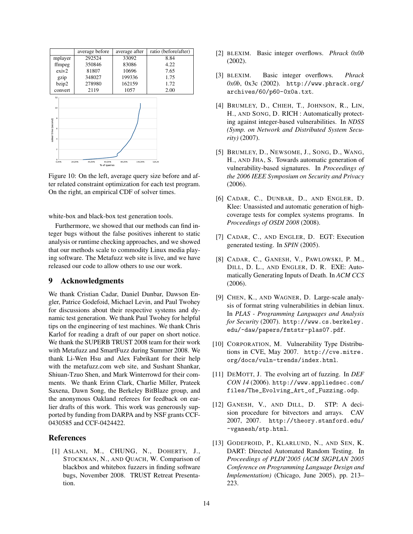|                                                                    | average before                             | average after     | ratio (before/after) |  |  |  |  |  |
|--------------------------------------------------------------------|--------------------------------------------|-------------------|----------------------|--|--|--|--|--|
| mplayer                                                            | 292524                                     | 33092             | 8.84                 |  |  |  |  |  |
| ffmpeg                                                             | 350846                                     | 83086             | 4.22                 |  |  |  |  |  |
| exiv2                                                              | 81807                                      | 10696             | 7.65                 |  |  |  |  |  |
| gzip                                                               | 348027                                     | 199336            | 1.75                 |  |  |  |  |  |
| bzip2                                                              | 278980                                     | 162159            | 1.72                 |  |  |  |  |  |
| convert                                                            | 2119                                       | 1057              | 2.00                 |  |  |  |  |  |
| 12<br>10<br>8<br>solver time (second)<br>4<br>$\overline{z}$<br>Ű. |                                            |                   |                      |  |  |  |  |  |
| 0.00%                                                              | 40.00%<br>60.00%<br>20.00%<br>% of queries | 80,00%<br>100,00% | 120.00               |  |  |  |  |  |

Figure 10: On the left, average query size before and after related constraint optimization for each test program. On the right, an empirical CDF of solver times.

white-box and black-box test generation tools.

Furthermore, we showed that our methods can find integer bugs without the false positives inherent to static analysis or runtime checking approaches, and we showed that our methods scale to commodity Linux media playing software. The Metafuzz web site is live, and we have released our code to allow others to use our work.

#### 9 Acknowledgments

We thank Cristian Cadar, Daniel Dunbar, Dawson Engler, Patrice Godefoid, Michael Levin, and Paul Twohey for discussions about their respective systems and dynamic test generation. We thank Paul Twohey for helpful tips on the engineering of test machines. We thank Chris Karlof for reading a draft of our paper on short notice. We thank the SUPERB TRUST 2008 team for their work with Metafuzz and SmartFuzz during Summer 2008. We thank Li-Wen Hsu and Alex Fabrikant for their help with the metafuzz.com web site, and Sushant Shankar, Shiuan-Tzuo Shen, and Mark Winterrowd for their comments. We thank Erinn Clark, Charlie Miller, Prateek Saxena, Dawn Song, the Berkeley BitBlaze group, and the anonymous Oakland referees for feedback on earlier drafts of this work. This work was generously supported by funding from DARPA and by NSF grants CCF-0430585 and CCF-0424422.

#### References

[1] ASLANI, M., CHUNG, N., DOHERTY, J., STOCKMAN, N., AND QUACH, W. Comparison of blackbox and whitebox fuzzers in finding software bugs, November 2008. TRUST Retreat Presentation.

- [2] BLEXIM. Basic integer overflows. *Phrack 0x0b* (2002).
- [3] BLEXIM. Basic integer overflows. *Phrack 0x0b*, 0x3c (2002). http://www.phrack.org/ archives/60/p60-0x0a.txt.
- [4] BRUMLEY, D., CHIEH, T., JOHNSON, R., LIN, H., AND SONG, D. RICH : Automatically protecting against integer-based vulnerabilities. In *NDSS (Symp. on Network and Distributed System Security)* (2007).
- [5] BRUMLEY, D., NEWSOME, J., SONG, D., WANG, H., AND JHA, S. Towards automatic generation of vulnerability-based signatures. In *Proceedings of the 2006 IEEE Symposium on Security and Privacy* (2006).
- [6] CADAR, C., DUNBAR, D., AND ENGLER, D. Klee: Unassisted and automatic generation of highcoverage tests for complex systems programs. In *Proceedings of OSDI 2008* (2008).
- [7] CADAR, C., AND ENGLER, D. EGT: Execution generated testing. In *SPIN* (2005).
- [8] CADAR, C., GANESH, V., PAWLOWSKI, P. M., DILL, D. L., AND ENGLER, D. R. EXE: Automatically Generating Inputs of Death. In *ACM CCS* (2006).
- [9] CHEN, K., AND WAGNER, D. Large-scale analysis of format string vulnerabilities in debian linux. In *PLAS - Programming Languages and Analysis for Security* (2007). http://www.cs.berkeley. edu/~daw/papers/fmtstr-plas07.pdf.
- [10] CORPORATION, M. Vulnerability Type Distributions in CVE, May 2007. http://cve.mitre. org/docs/vuln-trends/index.html.
- [11] DEMOTT, J. The evolving art of fuzzing. In *DEF CON 14* (2006). http://www.appliedsec.com/ files/The\_Evolving\_Art\_of\_Fuzzing.odp.
- [12] GANESH, V., AND DILL, D. STP: A decision procedure for bitvectors and arrays. CAV 2007, 2007. http://theory.stanford.edu/ ~vganesh/stp.html.
- [13] GODEFROID, P., KLARLUND, N., AND SEN, K. DART: Directed Automated Random Testing. In *Proceedings of PLDI'2005 (ACM SIGPLAN 2005 Conference on Programming Language Design and Implementation)* (Chicago, June 2005), pp. 213– 223.